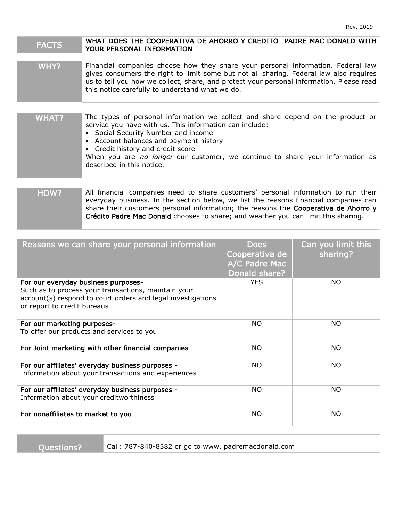| <b>FACTS</b> | WHAT DOES THE COOPERATIVA DE AHORRO Y CREDITO PADRE MAC DONALD WITH<br>YOUR PERSONAL INFORMATION                                                                                                                                                                                                                                                                                |
|--------------|---------------------------------------------------------------------------------------------------------------------------------------------------------------------------------------------------------------------------------------------------------------------------------------------------------------------------------------------------------------------------------|
|              |                                                                                                                                                                                                                                                                                                                                                                                 |
| WHY?         | Financial companies choose how they share your personal information. Federal law<br>gives consumers the right to limit some but not all sharing. Federal law also requires<br>us to tell you how we collect, share, and protect your personal information. Please read<br>this notice carefully to understand what we do.                                                       |
|              |                                                                                                                                                                                                                                                                                                                                                                                 |
| <b>WHAT?</b> | The types of personal information we collect and share depend on the product or<br>service you have with us. This information can include:<br>Social Security Number and income<br>Account balances and payment history<br>Credit history and credit score<br>When you are <i>no longer</i> our customer, we continue to share your information as<br>described in this notice. |
|              |                                                                                                                                                                                                                                                                                                                                                                                 |
| HOW?         | All financial companies need to share customers' personal information to run their<br>everyday business. In the section below, we list the reasons financial companies can<br>share their customers personal information; the reasons the Cooperativa de Ahorro y<br>Crédito Padre Mac Donald chooses to share; and weather you can limit this sharing.                         |

| Reasons we can share your personal information                                                                                                                                           | <b>Does</b><br>Cooperativa de<br>A/C Padre Mac<br>Donald share? | Can you limit this<br>sharing? |
|------------------------------------------------------------------------------------------------------------------------------------------------------------------------------------------|-----------------------------------------------------------------|--------------------------------|
| For our everyday business purposes-<br>Such as to process your transactions, maintain your<br>account(s) respond to court orders and legal investigations<br>or report to credit bureaus | <b>YES</b>                                                      | NO.                            |
| For our marketing purposes-<br>To offer our products and services to you                                                                                                                 | NO.                                                             | NO.                            |
| For Joint marketing with other financial companies                                                                                                                                       | NO.                                                             | <b>NO</b>                      |
| For our affiliates' everyday business purposes -<br>Information about your transactions and experiences                                                                                  | <b>NO</b>                                                       | NO.                            |
| For our affiliates' everyday business purposes -<br>Information about your creditworthiness                                                                                              | NO.                                                             | NO.                            |
| For nonaffiliates to market to you                                                                                                                                                       | NO.                                                             | <b>NO</b>                      |

Questions? Call: 787-840-8382 or go to www. padremacdonald.com